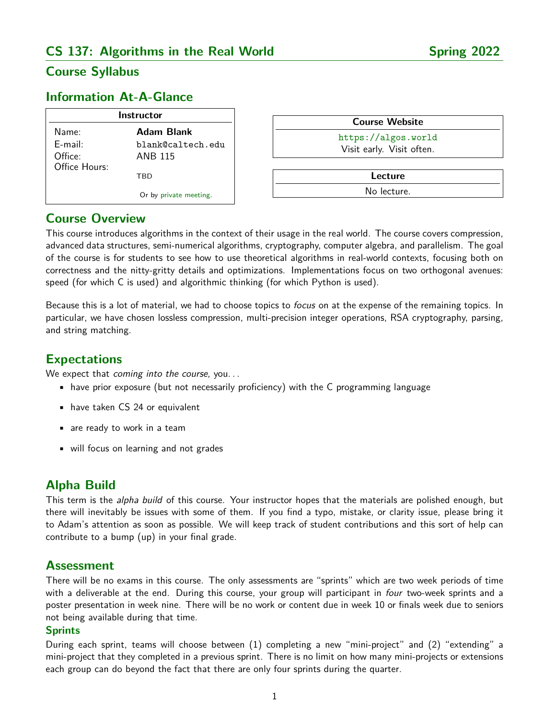# **CS 137: Algorithms in the Real World Spring 2022**

# **Course Syllabus**

## **Information At-A-Glance**

| <b>Instructor</b>        |                        |
|--------------------------|------------------------|
| Name:                    | Adam Blank             |
| $F$ -mail:               | blank@caltech.edu      |
| Office:<br>Office Hours: | <b>ANB 115</b>         |
|                          | TRD                    |
|                          | Or by private meeting. |

| <b>Course Website</b>     |  |
|---------------------------|--|
| https://algos.world       |  |
| Visit early. Visit often. |  |
|                           |  |
| Lecture                   |  |

No lecture.

### **Course Overview**

This course introduces algorithms in the context of their usage in the real world. The course covers compression, advanced data structures, semi-numerical algorithms, cryptography, computer algebra, and parallelism. The goal of the course is for students to see how to use theoretical algorithms in real-world contexts, focusing both on correctness and the nitty-gritty details and optimizations. Implementations focus on two orthogonal avenues: speed (for which C is used) and algorithmic thinking (for which Python is used).

Because this is a lot of material, we had to choose topics to *focus* on at the expense of the remaining topics. In particular, we have chosen lossless compression, multi-precision integer operations, RSA cryptography, parsing, and string matching.

### **Expectations**

We expect that coming into the course, you...

- have prior exposure (but not necessarily proficiency) with the C programming language
- have taken CS 24 or equivalent
- are ready to work in a team
- will focus on learning and not grades

## **Alpha Build**

This term is the alpha build of this course. Your instructor hopes that the materials are polished enough, but there will inevitably be issues with some of them. If you find a typo, mistake, or clarity issue, please bring it to Adam's attention as soon as possible. We will keep track of student contributions and this sort of help can contribute to a bump (up) in your final grade.

### **Assessment**

There will be no exams in this course. The only assessments are "sprints" which are two week periods of time with a deliverable at the end. During this course, your group will participant in four two-week sprints and a poster presentation in week nine. There will be no work or content due in week 10 or finals week due to seniors not being available during that time.

#### **Sprints**

During each sprint, teams will choose between (1) completing a new "mini-project" and (2) "extending" a mini-project that they completed in a previous sprint. There is no limit on how many mini-projects or extensions each group can do beyond the fact that there are only four sprints during the quarter.